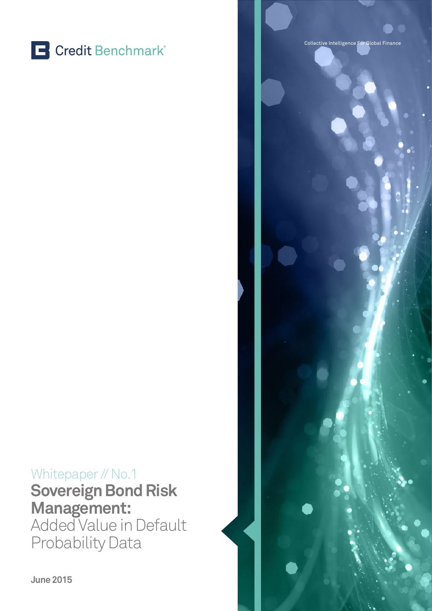

### Whitepaper // No.1 **Sovereign Bond Risk Management:**

Added Value in Default Probability Data



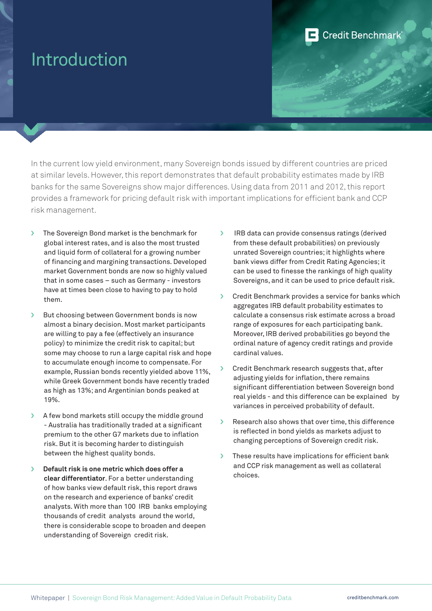### Introduction

In the current low yield environment, many Sovereign bonds issued by different countries are priced at similar levels. However, this report demonstrates that default probability estimates made by IRB banks for the same Sovereigns show major differences. Using data from 2011 and 2012, this report provides a framework for pricing default risk with important implications for efficient bank and CCP risk management.

- › The Sovereign Bond market is the benchmark for global interest rates, and is also the most trusted and liquid form of collateral for a growing number of financing and margining transactions. Developed market Government bonds are now so highly valued that in some cases – such as Germany - investors have at times been close to having to pay to hold them.
- › But choosing between Government bonds is now almost a binary decision. Most market participants are willing to pay a fee (effectively an insurance policy) to minimize the credit risk to capital; but some may choose to run a large capital risk and hope to accumulate enough income to compensate. For example, Russian bonds recently yielded above 11%, while Greek Government bonds have recently traded as high as 13%; and Argentinian bonds peaked at 19%.
- A few bond markets still occupy the middle ground - Australia has traditionally traded at a significant premium to the other G7 markets due to inflation risk. But it is becoming harder to distinguish between the highest quality bonds.
- › **Default risk is one metric which does offer a clear differentiator**. For a better understanding of how banks view default risk, this report draws on the research and experience of banks' credit analysts. With more than 100 IRB banks employing thousands of credit analysts around the world, there is considerable scope to broaden and deepen understanding of Sovereign credit risk.

› IRB data can provide consensus ratings (derived from these default probabilities) on previously unrated Sovereign countries; it highlights where bank views differ from Credit Rating Agencies; it can be used to finesse the rankings of high quality Sovereigns, and it can be used to price default risk.

**Credit Benchmark** 

- **>** Credit Benchmark provides a service for banks which aggregates IRB default probability estimates to calculate a consensus risk estimate across a broad range of exposures for each participating bank. Moreover, IRB derived probabilities go beyond the ordinal nature of agency credit ratings and provide cardinal values.
- Credit Benchmark research suggests that, after adjusting yields for inflation, there remains significant differentiation between Sovereign bond real yields - and this difference can be explained by variances in perceived probability of default.
- › Research also shows that over time, this difference is reflected in bond yields as markets adjust to changing perceptions of Sovereign credit risk.
- These results have implications for efficient bank and CCP risk management as well as collateral choices.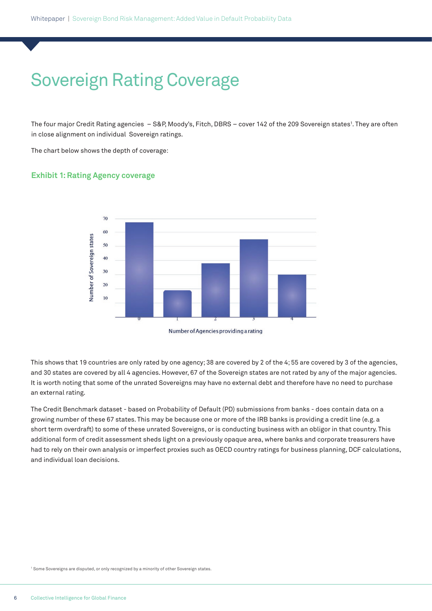# Sovereign Rating Coverage

The four major Credit Rating agencies – S&P, Moody's, Fitch, DBRS – cover 142 of the 209 Sovereign states<sup>1</sup>. They are often in close alignment on individual Sovereign ratings.

The chart below shows the depth of coverage:

### **Exhibit 1: Rating Agency coverage**



This shows that 19 countries are only rated by one agency; 38 are covered by 2 of the 4; 55 are covered by 3 of the agencies, and 30 states are covered by all 4 agencies. However, 67 of the Sovereign states are not rated by any of the major agencies. It is worth noting that some of the unrated Sovereigns may have no external debt and therefore have no need to purchase an external rating.

The Credit Benchmark dataset - based on Probability of Default (PD) submissions from banks - does contain data on a growing number of these 67 states. This may be because one or more of the IRB banks is providing a credit line (e.g. a short term overdraft) to some of these unrated Sovereigns, or is conducting business with an obligor in that country. This additional form of credit assessment sheds light on a previously opaque area, where banks and corporate treasurers have had to rely on their own analysis or imperfect proxies such as OECD country ratings for business planning, DCF calculations, and individual loan decisions.

1 Some Sovereigns are disputed, or only recognized by a minority of other Sovereign states.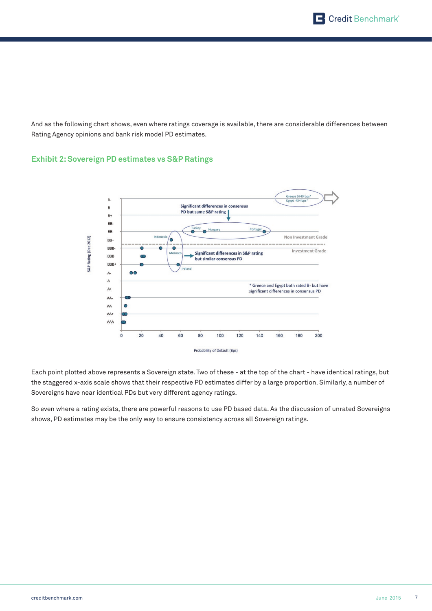And as the following chart shows, even where ratings coverage is available, there are considerable differences between Rating Agency opinions and bank risk model PD estimates.

### **Exhibit 2: Sovereign PD estimates vs S&P Ratings**



Each point plotted above represents a Sovereign state. Two of these - at the top of the chart - have identical ratings, but the staggered x-axis scale shows that their respective PD estimates differ by a large proportion. Similarly, a number of Sovereigns have near identical PDs but very different agency ratings.

So even where a rating exists, there are powerful reasons to use PD based data. As the discussion of unrated Sovereigns shows, PD estimates may be the only way to ensure consistency across all Sovereign ratings.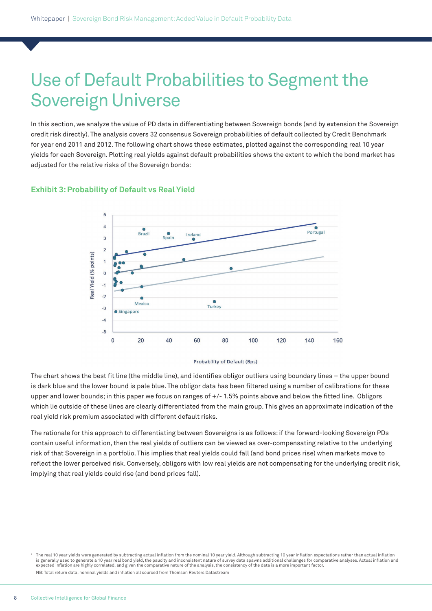### Use of Default Probabilities to Segment the Sovereign Universe

In this section, we analyze the value of PD data in differentiating between Sovereign bonds (and by extension the Sovereign credit risk directly). The analysis covers 32 consensus Sovereign probabilities of default collected by Credit Benchmark for year end 2011 and 2012. The following chart shows these estimates, plotted against the corresponding real 10 year yields for each Sovereign. Plotting real yields against default probabilities shows the extent to which the bond market has adjusted for the relative risks of the Sovereign bonds:

#### **Exhibit 3: Probability of Default vs Real Yield**



Probability of Default (Bps)

The chart shows the best fit line (the middle line), and identifies obligor outliers using boundary lines – the upper bound is dark blue and the lower bound is pale blue. The obligor data has been filtered using a number of calibrations for these upper and lower bounds; in this paper we focus on ranges of +/- 1.5% points above and below the fitted line. Obligors which lie outside of these lines are clearly differentiated from the main group. This gives an approximate indication of the real yield risk premium associated with different default risks.

The rationale for this approach to differentiating between Sovereigns is as follows: if the forward-looking Sovereign PDs contain useful information, then the real yields of outliers can be viewed as over-compensating relative to the underlying risk of that Sovereign in a portfolio. This implies that real yields could fall (and bond prices rise) when markets move to reflect the lower perceived risk. Conversely, obligors with low real yields are not compensating for the underlying credit risk, implying that real yields could rise (and bond prices fall).

 $2$  The real 10 year yields were generated by subtracting actual inflation from the nominal 10 year yield. Although subtracting 10 year inflation expectations rather than actual inflation is generally used to generate a 10 year real bond yield, the paucity and inconsistent nature of survey data spawns additional challenges for comparative analyses. Actual inflation and expected inflation are highly correlated, and given the comparative nature of the analysis, the consistency of the data is a more important factor. NB: Total return data, nominal yields and inflation all sourced from Thomson Reuters Datastream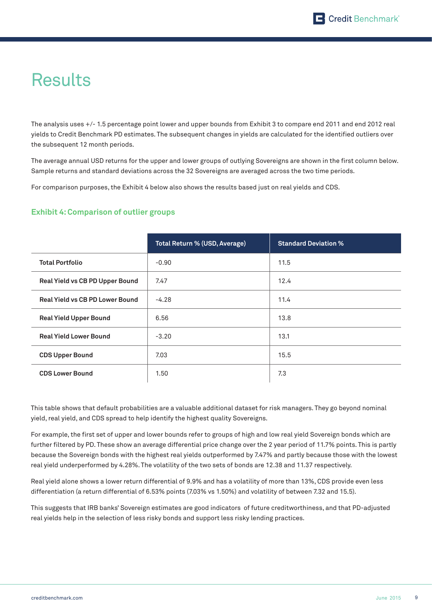## **Results**

The analysis uses +/- 1.5 percentage point lower and upper bounds from Exhibit 3 to compare end 2011 and end 2012 real yields to Credit Benchmark PD estimates. The subsequent changes in yields are calculated for the identified outliers over the subsequent 12 month periods.

The average annual USD returns for the upper and lower groups of outlying Sovereigns are shown in the first column below. Sample returns and standard deviations across the 32 Sovereigns are averaged across the two time periods.

For comparison purposes, the Exhibit 4 below also shows the results based just on real yields and CDS.

### **Exhibit 4: Comparison of outlier groups**

|                                 | Total Return % (USD, Average) | <b>Standard Deviation %</b> |
|---------------------------------|-------------------------------|-----------------------------|
| <b>Total Portfolio</b>          | $-0.90$                       | 11.5                        |
| Real Yield vs CB PD Upper Bound | 7.47                          | 12.4                        |
| Real Yield vs CB PD Lower Bound | $-4.28$                       | 11.4                        |
| <b>Real Yield Upper Bound</b>   | 6.56                          | 13.8                        |
| <b>Real Yield Lower Bound</b>   | $-3.20$                       | 13.1                        |
| <b>CDS Upper Bound</b>          | 7.03                          | 15.5                        |
| <b>CDS Lower Bound</b>          | 1.50                          | 7.3                         |

This table shows that default probabilities are a valuable additional dataset for risk managers. They go beyond nominal yield, real yield, and CDS spread to help identify the highest quality Sovereigns.

For example, the first set of upper and lower bounds refer to groups of high and low real yield Sovereign bonds which are further filtered by PD. These show an average differential price change over the 2 year period of 11.7% points. This is partly because the Sovereign bonds with the highest real yields outperformed by 7.47% and partly because those with the lowest real yield underperformed by 4.28%. The volatility of the two sets of bonds are 12.38 and 11.37 respectively.

Real yield alone shows a lower return differential of 9.9% and has a volatility of more than 13%, CDS provide even less differentiation (a return differential of 6.53% points (7.03% vs 1.50%) and volatility of between 7.32 and 15.5).

This suggests that IRB banks' Sovereign estimates are good indicators of future creditworthiness, and that PD-adjusted real yields help in the selection of less risky bonds and support less risky lending practices.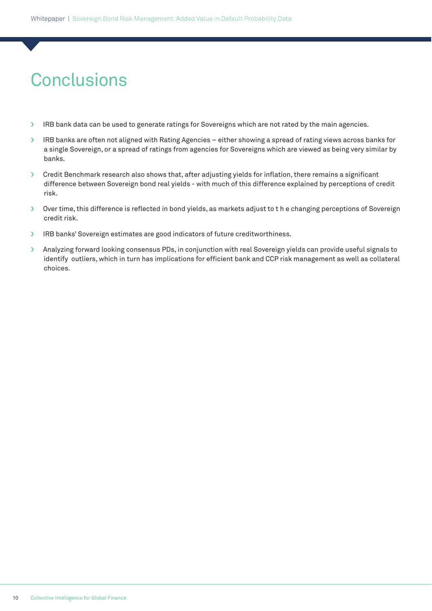# **Conclusions**

- › IRB bank data can be used to generate ratings for Sovereigns which are not rated by the main agencies.
- › IRB banks are often not aligned with Rating Agencies either showing a spread of rating views across banks for a single Sovereign, or a spread of ratings from agencies for Sovereigns which are viewed as being very similar by banks.
- › Credit Benchmark research also shows that, after adjusting yields for inflation, there remains a significant difference between Sovereign bond real yields - with much of this difference explained by perceptions of credit risk.
- › Over time, this difference is reflected in bond yields, as markets adjust to t h e changing perceptions of Sovereign credit risk.
- › IRB banks' Sovereign estimates are good indicators of future creditworthiness.
- > Analyzing forward looking consensus PDs, in conjunction with real Sovereign yields can provide useful signals to identify outliers, which in turn has implications for efficient bank and CCP risk management as well as collateral choices.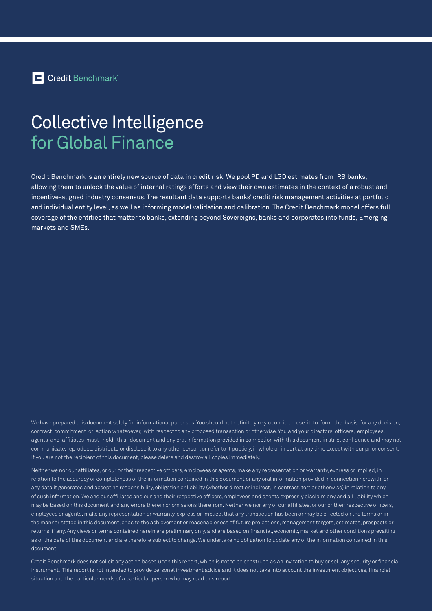### Collective Intelligence for Global Finance

Credit Benchmark is an entirely new source of data in credit risk. We pool PD and LGD estimates from IRB banks, allowing them to unlock the value of internal ratings efforts and view their own estimates in the context of a robust and incentive-aligned industry consensus. The resultant data supports banks' credit risk management activities at portfolio and individual entity level, as well as informing model validation and calibration. The Credit Benchmark model offers full coverage of the entities that matter to banks, extending beyond Sovereigns, banks and corporates into funds, Emerging markets and SMEs.

We have prepared this document solely for informational purposes. You should not definitely rely upon it or use it to form the basis for any decision, contract, commitment or action whatsoever, with respect to any proposed transaction or otherwise. You and your directors, officers, employees, agents and affiliates must hold this document and any oral information provided in connection with this document in strict confidence and may not communicate, reproduce, distribute or disclose it to any other person, or refer to it publicly, in whole or in part at any time except with our prior consent. If you are not the recipient of this document, please delete and destroy all copies immediately.

Neither we nor our affiliates, or our or their respective officers, employees or agents, make any representation or warranty, express or implied, in relation to the accuracy or completeness of the information contained in this document or any oral information provided in connection herewith, or any data it generates and accept no responsibility, obligation or liability (whether direct or indirect, in contract, tort or otherwise) in relation to any of such information. We and our affiliates and our and their respective officers, employees and agents expressly disclaim any and all liability which may be based on this document and any errors therein or omissions therefrom. Neither we nor any of our affiliates, or our or their respective officers, employees or agents, make any representation or warranty, express or implied, that any transaction has been or may be effected on the terms or in the manner stated in this document, or as to the achievement or reasonableness of future projections, management targets, estimates, prospects or returns, if any. Any views or terms contained herein are preliminary only, and are based on financial, economic, market and other conditions prevailing as of the date of this document and are therefore subject to change. We undertake no obligation to update any of the information contained in this document.

Credit Benchmark does not solicit any action based upon this report, which is not to be construed as an invitation to buy or sell any security or financial instrument. This report is not intended to provide personal investment advice and it does not take into account the investment objectives, financial situation and the particular needs of a particular person who may read this report.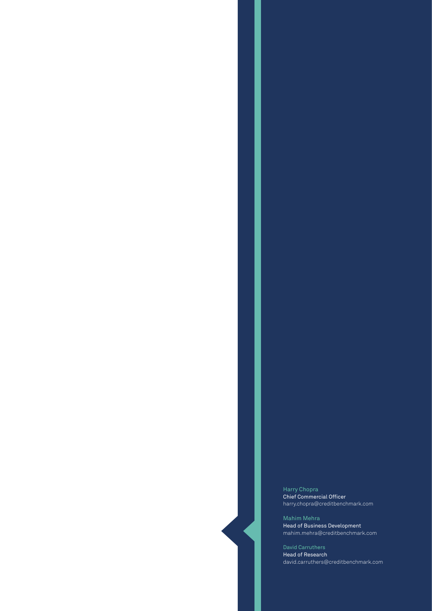Harry Chopra Chief Commercial Officer harry.chopra@creditbenchmark.com

Mahim Mehra Head of Business Development mahim.mehra@creditbenchmark.com

Head of Research david.carruthers@creditbenchmark.com